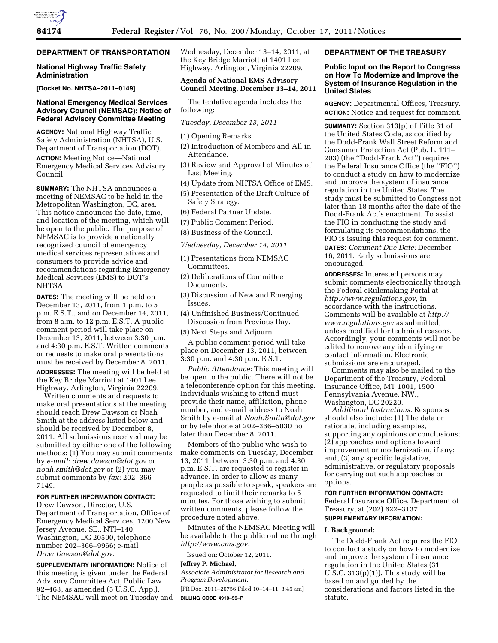## **DEPARTMENT OF TRANSPORTATION**

#### **National Highway Traffic Safety Administration**

**[Docket No. NHTSA–2011–0149]** 

## **National Emergency Medical Services Advisory Council (NEMSAC); Notice of Federal Advisory Committee Meeting**

**AGENCY:** National Highway Traffic Safety Administration (NHTSA), U.S. Department of Transportation (DOT). **ACTION:** Meeting Notice—National Emergency Medical Services Advisory Council.

**SUMMARY:** The NHTSA announces a meeting of NEMSAC to be held in the Metropolitan Washington, DC, area. This notice announces the date, time, and location of the meeting, which will be open to the public. The purpose of NEMSAC is to provide a nationally recognized council of emergency medical services representatives and consumers to provide advice and recommendations regarding Emergency Medical Services (EMS) to DOT's NHTSA.

**DATES:** The meeting will be held on December 13, 2011, from 1 p.m. to 5 p.m. E.S.T., and on December 14, 2011, from 8 a.m. to 12 p.m. E.S.T. A public comment period will take place on December 13, 2011, between 3:30 p.m. and 4:30 p.m. E.S.T. Written comments or requests to make oral presentations must be received by December 8, 2011. **ADDRESSES:** The meeting will be held at the Key Bridge Marriott at 1401 Lee Highway, Arlington, Virginia 22209.

Written comments and requests to make oral presentations at the meeting should reach Drew Dawson or Noah Smith at the address listed below and should be received by December 8, 2011. All submissions received may be submitted by either one of the following methods: (1) You may submit comments by *e-mail: [drew.dawson@dot.gov](mailto:drew.dawson@dot.gov)* or *[noah.smith@dot.gov](mailto:noah.smith@dot.gov)* or (2) you may submit comments by *fax:* 202–366– 7149.

# **FOR FURTHER INFORMATION CONTACT:**

Drew Dawson, Director, U.S. Department of Transportation, Office of Emergency Medical Services, 1200 New Jersey Avenue, SE., NTI–140, Washington, DC 20590, telephone number 202–366–9966; e-mail *[Drew.Dawson@dot.gov.](mailto:Drew.Dawson@dot.gov)* 

**SUPPLEMENTARY INFORMATION:** Notice of this meeting is given under the Federal Advisory Committee Act, Public Law 92–463, as amended (5 U.S.C. App.). The NEMSAC will meet on Tuesday and Wednesday, December 13–14, 2011, at the Key Bridge Marriott at 1401 Lee Highway, Arlington, Virginia 22209.

# **Agenda of National EMS Advisory Council Meeting, December 13–14, 2011**

The tentative agenda includes the following:

*Tuesday, December 13, 2011* 

(1) Opening Remarks.

- (2) Introduction of Members and All in Attendance.
- (3) Review and Approval of Minutes of Last Meeting.
- (4) Update from NHTSA Office of EMS.
- (5) Presentation of the Draft Culture of Safety Strategy.
- (6) Federal Partner Update.
- (7) Public Comment Period.
- (8) Business of the Council.
- *Wednesday, December 14, 2011*
- (1) Presentations from NEMSAC Committees.
- (2) Deliberations of Committee Documents.
- (3) Discussion of New and Emerging Issues.
- (4) Unfinished Business/Continued
- Discussion from Previous Day.
- (5) Next Steps and Adjourn.

A public comment period will take place on December 13, 2011, between 3:30 p.m. and 4:30 p.m. E.S.T.

*Public Attendance:* This meeting will be open to the public. There will not be a teleconference option for this meeting. Individuals wishing to attend must provide their name, affiliation, phone number, and e-mail address to Noah Smith by e-mail at *[Noah.Smith@dot.gov](mailto:Noah.Smith@dot.gov)*  or by telephone at 202–366–5030 no later than December 8, 2011.

Members of the public who wish to make comments on Tuesday, December 13, 2011, between 3:30 p.m. and 4:30 p.m. E.S.T. are requested to register in advance. In order to allow as many people as possible to speak, speakers are requested to limit their remarks to 5 minutes. For those wishing to submit written comments, please follow the procedure noted above.

Minutes of the NEMSAC Meeting will be available to the public online through *[http://www.ems.gov.](http://www.ems.gov)* 

Issued on: October 12, 2011.

## **Jeffrey P. Michael,**

*Associate Administrator for Research and Program Development.* 

[FR Doc. 2011–26756 Filed 10–14–11; 8:45 am] **BILLING CODE 4910–59–P** 

## **DEPARTMENT OF THE TREASURY**

**Public Input on the Report to Congress on How To Modernize and Improve the System of Insurance Regulation in the United States** 

**AGENCY:** Departmental Offices, Treasury. **ACTION:** Notice and request for comment.

**SUMMARY:** Section 313(p) of Title 31 of the United States Code, as codified by the Dodd-Frank Wall Street Reform and Consumer Protection Act (Pub. L. 111– 203) (the ''Dodd-Frank Act'') requires the Federal Insurance Office (the ''FIO'') to conduct a study on how to modernize and improve the system of insurance regulation in the United States. The study must be submitted to Congress not later than 18 months after the date of the Dodd-Frank Act's enactment. To assist the FIO in conducting the study and formulating its recommendations, the FIO is issuing this request for comment.

**DATES:** *Comment Due Date:* December 16, 2011. Early submissions are encouraged.

**ADDRESSES:** Interested persons may submit comments electronically through the Federal eRulemaking Portal at *[http://www.regulations.gov,](http://www.regulations.gov)* in accordance with the instructions. Comments will be available at *[http://](http://www.regulations.gov) [www.regulations.gov](http://www.regulations.gov)* as submitted, unless modified for technical reasons. Accordingly, your comments will not be edited to remove any identifying or contact information. Electronic submissions are encouraged.

Comments may also be mailed to the Department of the Treasury, Federal Insurance Office, MT 1001, 1500 Pennsylvania Avenue, NW., Washington, DC 20220.

*Additional Instructions.* Responses should also include: (1) The data or rationale, including examples, supporting any opinions or conclusions; (2) approaches and options toward improvement or modernization, if any; and, (3) any specific legislative, administrative, or regulatory proposals for carrying out such approaches or options.

#### **FOR FURTHER INFORMATION CONTACT:**

Federal Insurance Office, Department of Treasury, at (202) 622–3137. **SUPPLEMENTARY INFORMATION:** 

# **I. Background:**

The Dodd-Frank Act requires the FIO to conduct a study on how to modernize and improve the system of insurance regulation in the United States (31 U.S.C.  $313(p)(1)$ . This study will be based on and guided by the considerations and factors listed in the statute.